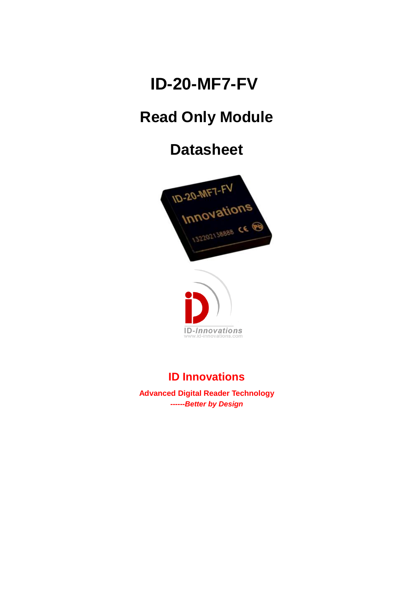# **ID-20-MF7-FV**

# **Read Only Module**

# **Datasheet**





## **ID Innovations**

**Advanced Digital Reader Technology** *------Better by Design*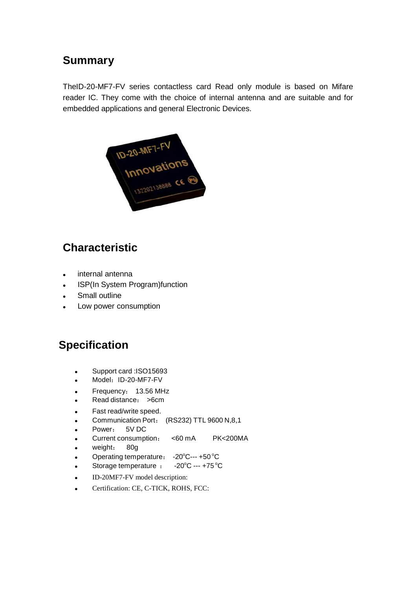#### **Summary**

TheID-20-MF7-FV series contactless card Read only module is based on Mifare reader IC. They come with the choice of internal antenna and are suitable and for embedded applications and general Electronic Devices.



### **Characteristic**

- internal antenna
- ISP(In System Program)function
- Small outline
- Low power consumption

### **Specification**

- Support card :ISO15693
- Model: ID-20-MF7-FV
- Frequency: 13.56 MHz
- Read distance: >6cm
- Fast read/write speed.
- Communication Port: (RS232) TTL 9600 N,8,1
- Power: 5V DC
- Current consumption: <60 mA PK<200MA
- weight: 80g
- Operating temperature:  $-20^{\circ}$ C---+50 °C
- Storage temperature  $: 20^{\circ}$ C --- +75 $^{\circ}$ C
- ID-20MF7-FV model description:
- Certification: CE, C-TICK, ROHS, FCC: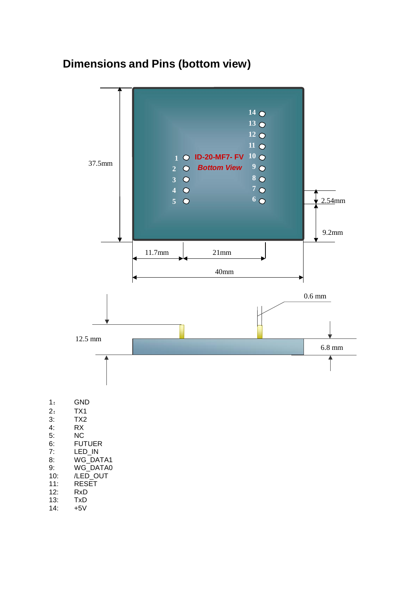### **Dimensions and Pins (bottom view)**

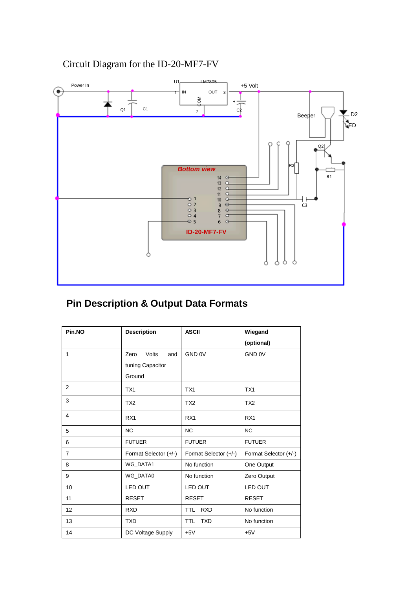

#### Circuit Diagram for the ID-20-MF7-FV

#### **Pin Description & Output Data Formats**

| Pin.NO         | <b>Description</b>    | <b>ASCII</b>             | Wiegand               |
|----------------|-----------------------|--------------------------|-----------------------|
|                |                       |                          | (optional)            |
| 1              | Zero<br>Volts<br>and  | GND 0V                   | GND 0V                |
|                | tuning Capacitor      |                          |                       |
|                | Ground                |                          |                       |
| 2              | TX1                   | TX1                      | TX1                   |
| 3              | TX <sub>2</sub>       | TX <sub>2</sub>          | TX <sub>2</sub>       |
| $\overline{4}$ | RX <sub>1</sub>       | RX <sub>1</sub>          | RX1                   |
| 5              | <b>NC</b>             | <b>NC</b>                | <b>NC</b>             |
| 6              | <b>FUTUER</b>         | <b>FUTUER</b>            | <b>FUTUER</b>         |
| $\overline{7}$ | Format Selector (+/-) | Format Selector (+/-)    | Format Selector (+/-) |
| 8              | <b>WG DATA1</b>       | No function              | One Output            |
| 9              | WG DATA0              | No function              | Zero Output           |
| 10             | LED OUT               | LED OUT                  | LED OUT               |
| 11             | <b>RESET</b>          | <b>RESET</b>             | <b>RESET</b>          |
| 12             | <b>RXD</b>            | <b>RXD</b><br>TTL.       | No function           |
| 13             | <b>TXD</b>            | <b>TXD</b><br><b>TTL</b> | No function           |
| 14             | DC Voltage Supply     | $+5V$                    | $+5V$                 |